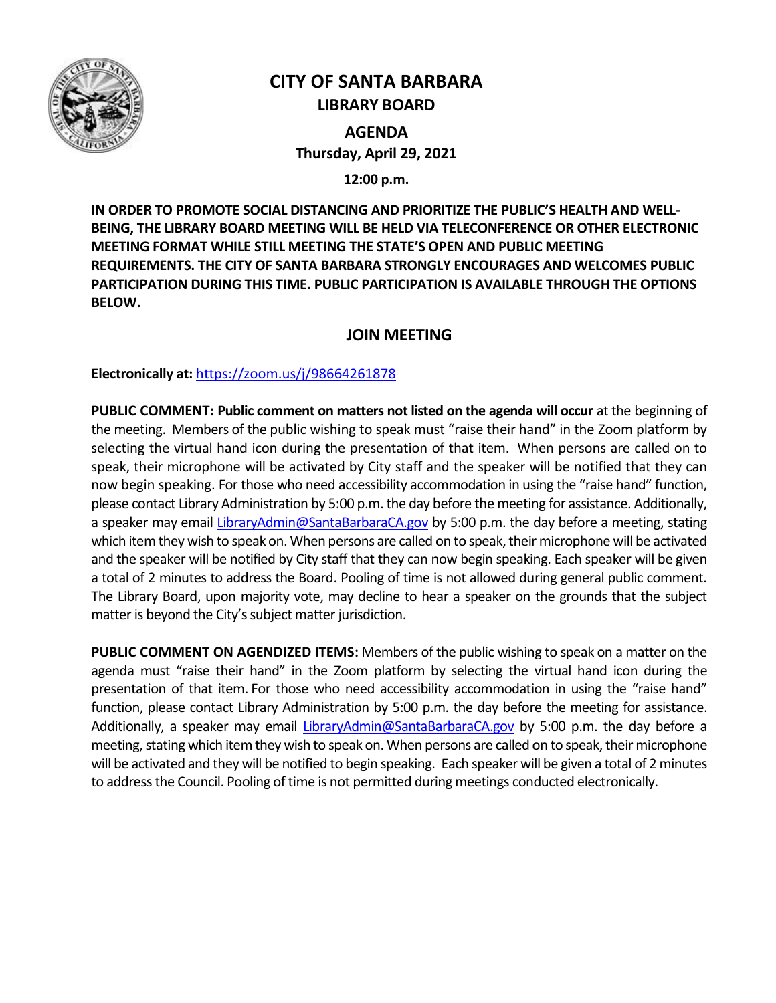

# **CITY OF SANTA BARBARA LIBRARY BOARD**

**AGENDA Thursday, April 29, 2021**

**12:00 p.m.**

**IN ORDER TO PROMOTE SOCIAL DISTANCING AND PRIORITIZE THE PUBLIC'S HEALTH AND WELL-BEING, THE LIBRARY BOARD MEETING WILL BE HELD VIA TELECONFERENCE OR OTHER ELECTRONIC MEETING FORMAT WHILE STILL MEETING THE STATE'S OPEN AND PUBLIC MEETING REQUIREMENTS. THE CITY OF SANTA BARBARA STRONGLY ENCOURAGES AND WELCOMES PUBLIC PARTICIPATION DURING THIS TIME. PUBLIC PARTICIPATION IS AVAILABLE THROUGH THE OPTIONS BELOW.**

# **JOIN MEETING**

**Electronically at:** <https://zoom.us/j/98664261878>

**PUBLIC COMMENT: Public comment on matters not listed on the agenda will occur** at the beginning of the meeting. Members of the public wishing to speak must "raise their hand" in the Zoom platform by selecting the virtual hand icon during the presentation of that item. When persons are called on to speak, their microphone will be activated by City staff and the speaker will be notified that they can now begin speaking. For those who need accessibility accommodation in using the "raise hand" function, please contact Library Administration by 5:00 p.m. the day before the meeting for assistance. Additionally, a speaker may email [LibraryAdmin@SantaBarbaraCA.gov](mailto:LibraryAdmin@SantaBarbaraCA.gov) by 5:00 p.m. the day before a meeting, stating which item they wish to speak on. When persons are called on to speak, their microphone will be activated and the speaker will be notified by City staff that they can now begin speaking. Each speaker will be given a total of 2 minutes to address the Board. Pooling of time is not allowed during general public comment. The Library Board, upon majority vote, may decline to hear a speaker on the grounds that the subject matter is beyond the City's subject matter jurisdiction.

**PUBLIC COMMENT ON AGENDIZED ITEMS:** Members of the public wishing to speak on a matter on the agenda must "raise their hand" in the Zoom platform by selecting the virtual hand icon during the presentation of that item. For those who need accessibility accommodation in using the "raise hand" function, please contact Library Administration by 5:00 p.m. the day before the meeting for assistance. Additionally, a speaker may email [LibraryAdmin@SantaBarbaraCA.gov](mailto:LibraryAdmin@SantaBarbaraCA.gov) by 5:00 p.m. the day before a meeting, stating which item they wish to speak on. When persons are called on to speak, their microphone will be activated and they will be notified to begin speaking. Each speaker will be given a total of 2 minutes to address the Council. Pooling of time is not permitted during meetings conducted electronically.